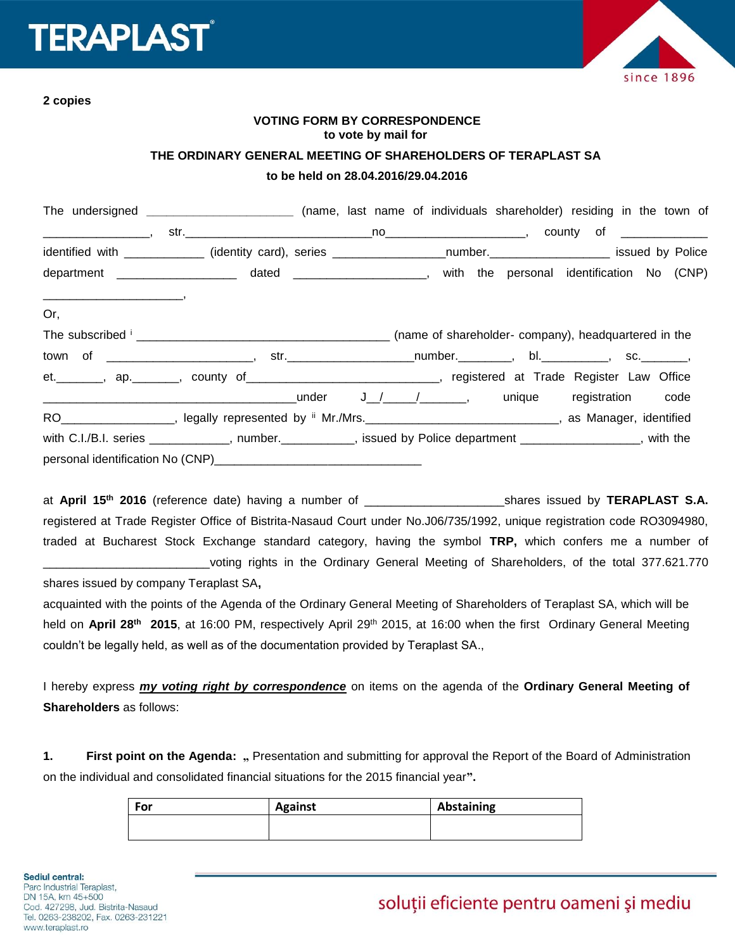# **ERAPLAST**



**2 copies**

# **VOTING FORM BY CORRESPONDENCE to vote by mail for**

#### **THE ORDINARY GENERAL MEETING OF SHAREHOLDERS OF TERAPLAST SA**

#### **to be held on 28.04.2016/29.04.2016**

|     | The undersigned _______________________________ (name, last name of individuals shareholder) residing in the town of |  |  |  |  |
|-----|----------------------------------------------------------------------------------------------------------------------|--|--|--|--|
|     |                                                                                                                      |  |  |  |  |
|     | identified with ____________ (identity card), series __________________number.___________________ issued by Police   |  |  |  |  |
|     | department ______________________ dated _____________________, with the personal identification No (CNP)             |  |  |  |  |
|     |                                                                                                                      |  |  |  |  |
| Or, |                                                                                                                      |  |  |  |  |
|     |                                                                                                                      |  |  |  |  |
|     |                                                                                                                      |  |  |  |  |
|     | et. ________, ap. ________, county of _________________________________, registered at Trade Register Law Office     |  |  |  |  |
|     |                                                                                                                      |  |  |  |  |
|     | RO__________________, legally represented by " Mr./Mrs.______________________________, as Manager, identified        |  |  |  |  |
|     | with C.I./B.I. series ____________, number.__________, issued by Police department _______________, with the         |  |  |  |  |
|     |                                                                                                                      |  |  |  |  |

at **April 15th 2016** (reference date) having a number of \_\_\_\_\_\_\_\_\_\_\_\_\_\_\_\_\_\_\_\_\_shares issued by **TERAPLAST S.A.** registered at Trade Register Office of Bistrita-Nasaud Court under No.J06/735/1992, unique registration code RO3094980, traded at Bucharest Stock Exchange standard category, having the symbol **TRP,** which confers me a number of voting rights in the Ordinary General Meeting of Shareholders, of the total 377.621.770

shares issued by company Teraplast SA**,**

acquainted with the points of the Agenda of the Ordinary General Meeting of Shareholders of Teraplast SA, which will be held on **April 28th 2015**, at 16:00 PM, respectively April 29th 2015, at 16:00 when the first Ordinary General Meeting couldn't be legally held, as well as of the documentation provided by Teraplast SA.,

I hereby express *my voting right by correspondence* on items on the agenda of the **Ordinary General Meeting of Shareholders** as follows:

1. **First point on the Agenda:** " Presentation and submitting for approval the Report of the Board of Administration on the individual and consolidated financial situations for the 2015 financial year**".**

| For | <b>Against</b> | Abstaining |
|-----|----------------|------------|
|     |                |            |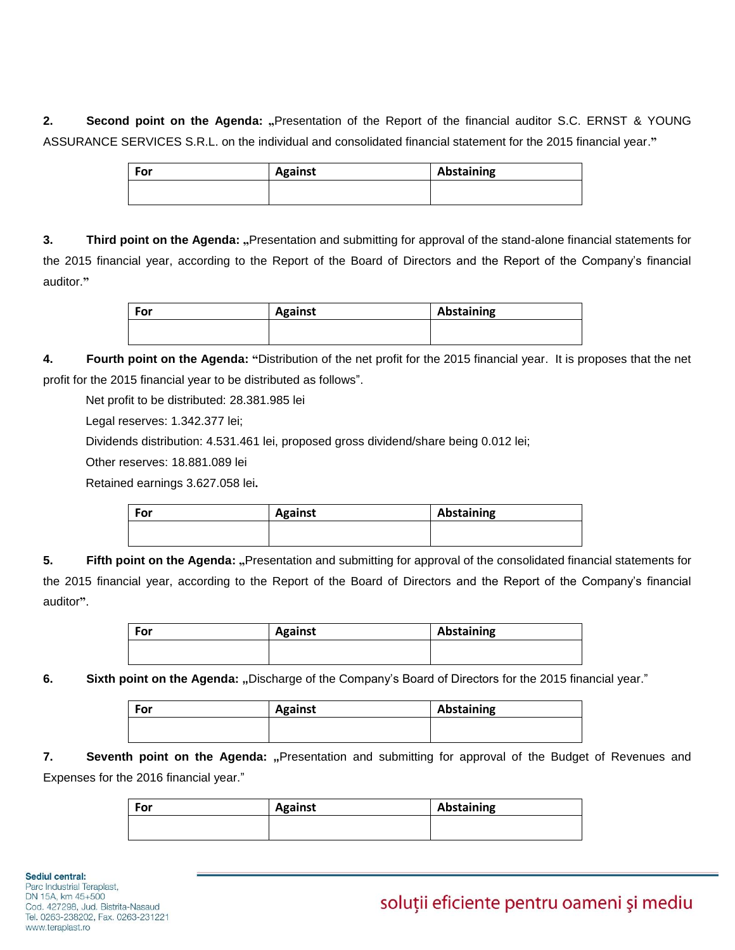**2. Second point on the Agenda: "**Presentation of the Report of the financial auditor S.C. ERNST & YOUNG ASSURANCE SERVICES S.R.L. on the individual and consolidated financial statement for the 2015 financial year.**"**

| <b>For</b> | <b>Against</b> | Abstaining |
|------------|----------------|------------|
|            |                |            |
|            |                |            |

**3. Third point on the Agenda: "**Presentation and submitting for approval of the stand-alone financial statements for the 2015 financial year, according to the Report of the Board of Directors and the Report of the Company's financial auditor.**"**

| For | <b>Against</b> | Abstaining |
|-----|----------------|------------|
|     |                |            |
|     |                |            |

**4. Fourth point on the Agenda: "**Distribution of the net profit for the 2015 financial year. It is proposes that the net profit for the 2015 financial year to be distributed as follows".

Net profit to be distributed: 28.381.985 lei

Legal reserves: 1.342.377 lei;

Dividends distribution: 4.531.461 lei, proposed gross dividend/share being 0.012 lei;

Other reserves: 18.881.089 lei

Retained earnings 3.627.058 lei**.**

| For | <b>Against</b> | Abstaining |
|-----|----------------|------------|
|     |                |            |
|     |                |            |

**5. Fifth point on the Agenda:** "Presentation and submitting for approval of the consolidated financial statements for the 2015 financial year, according to the Report of the Board of Directors and the Report of the Company's financial auditor**"**.

| For | <b>Against</b> | Abstaining |
|-----|----------------|------------|
|     |                |            |
|     |                |            |

**6.** Sixth point on the Agenda: "Discharge of the Company's Board of Directors for the 2015 financial year."

| For | <b>Against</b> | Abstaining |
|-----|----------------|------------|
|     |                |            |

**7. Seventh point on the Agenda:** "Presentation and submitting for approval of the Budget of Revenues and Expenses for the 2016 financial year."

| For | <b>Against</b> | Abstaining |
|-----|----------------|------------|
|     |                |            |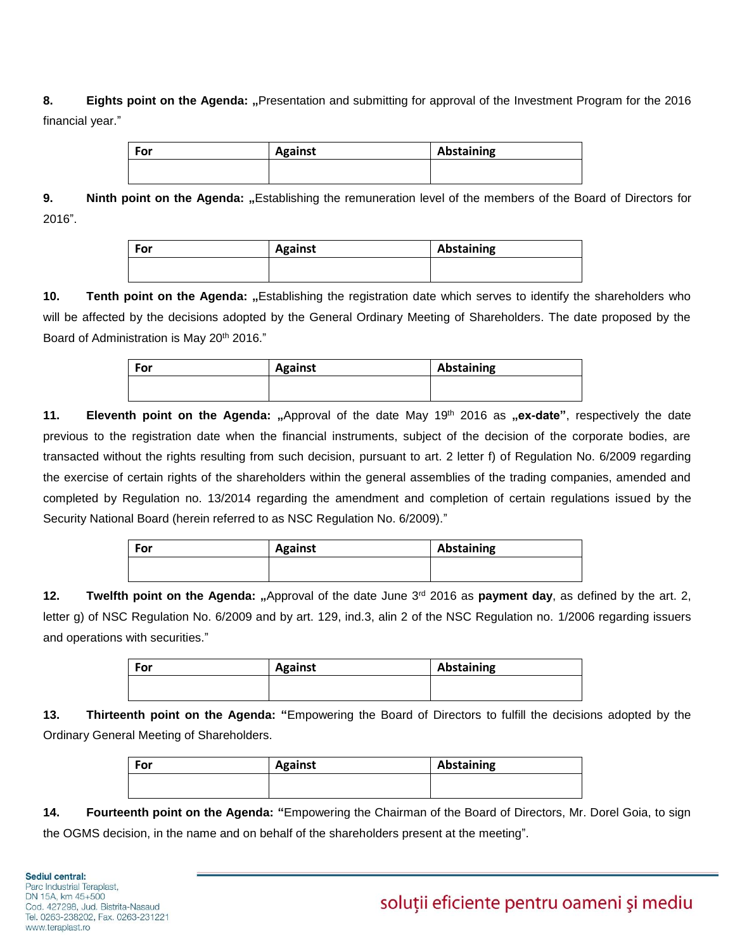# **8. Eights point on the Agenda: "**Presentation and submitting for approval of the Investment Program for the 2016 financial year."

| For | <b>Against</b> | Abstaining |
|-----|----------------|------------|
|     |                |            |

**9. Ninth point on the Agenda:** "Establishing the remuneration level of the members of the Board of Directors for 2016".

| For | <b>Against</b> | Abstaining |
|-----|----------------|------------|
|     |                |            |

10. **Tenth point on the Agenda:** "Establishing the registration date which serves to identify the shareholders who will be affected by the decisions adopted by the General Ordinary Meeting of Shareholders. The date proposed by the Board of Administration is May 20<sup>th</sup> 2016."

| For | <b>Against</b> | Abstaining |
|-----|----------------|------------|
|     |                |            |

**11. Eleventh point on the Agenda:** "Approval of the date May 19<sup>th</sup> 2016 as "ex-date", respectively the date previous to the registration date when the financial instruments, subject of the decision of the corporate bodies, are transacted without the rights resulting from such decision, pursuant to art. 2 letter f) of Regulation No. 6/2009 regarding the exercise of certain rights of the shareholders within the general assemblies of the trading companies, amended and completed by Regulation no. 13/2014 regarding the amendment and completion of certain regulations issued by the Security National Board (herein referred to as NSC Regulation No. 6/2009)."

| For | <b>Against</b> | Abstaining |
|-----|----------------|------------|
|     |                |            |

**12. Twelfth point on the Agenda: "**Approval of the date June 3rd 2016 as **payment day**, as defined by the art. 2, letter g) of NSC Regulation No. 6/2009 and by art. 129, ind.3, alin 2 of the NSC Regulation no. 1/2006 regarding issuers and operations with securities."

| For | <b>Against</b> | Abstaining |
|-----|----------------|------------|
|     |                |            |

**13. Thirteenth point on the Agenda: "**Empowering the Board of Directors to fulfill the decisions adopted by the Ordinary General Meeting of Shareholders.

| For | <b>Against</b> | Abstaining |
|-----|----------------|------------|
|     |                |            |

**14. Fourteenth point on the Agenda: "**Empowering the Chairman of the Board of Directors, Mr. Dorel Goia, to sign the OGMS decision, in the name and on behalf of the shareholders present at the meeting".